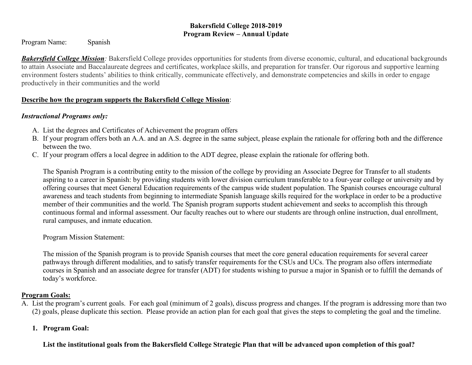#### **Bakersfield College 2018-2019 Program Review – Annual Update**

Program Name: Spanish

**Bakersfield College Mission**: Bakersfield College provides opportunities for students from diverse economic, cultural, and educational backgrounds to attain Associate and Baccalaureate degrees and certificates, workplace skills, and preparation for transfer. Our rigorous and supportive learning environment fosters students' abilities to think critically, communicate effectively, and demonstrate competencies and skills in order to engage productively in their communities and the world

### **Describe how the program supports the Bakersfield College Mission**:

# *Instructional Programs only:*

- A. List the degrees and Certificates of Achievement the program offers
- B. If your program offers both an A.A. and an A.S. degree in the same subject, please explain the rationale for offering both and the difference between the two.
- C. If your program offers a local degree in addition to the ADT degree, please explain the rationale for offering both.

The Spanish Program is a contributing entity to the mission of the college by providing an Associate Degree for Transfer to all students aspiring to a career in Spanish: by providing students with lower division curriculum transferable to a four-year college or university and by offering courses that meet General Education requirements of the campus wide student population. The Spanish courses encourage cultural awareness and teach students from beginning to intermediate Spanish language skills required for the workplace in order to be a productive member of their communities and the world. The Spanish program supports student achievement and seeks to accomplish this through continuous formal and informal assessment. Our faculty reaches out to where our students are through online instruction, dual enrollment, rural campuses, and inmate education.

Program Mission Statement:

The mission of the Spanish program is to provide Spanish courses that meet the core general education requirements for several career pathways through different modalities, and to satisfy transfer requirements for the CSUs and UCs. The program also offers intermediate courses in Spanish and an associate degree for transfer (ADT) for students wishing to pursue a major in Spanish or to fulfill the demands of today's workforce.

# **Program Goals:**

A. List the program's current goals. For each goal (minimum of 2 goals), discuss progress and changes. If the program is addressing more than two (2) goals, please duplicate this section. Please provide an action plan for each goal that gives the steps to completing the goal and the timeline.

# **1. Program Goal:**

**List the institutional goals from the Bakersfield College Strategic Plan that will be advanced upon completion of this goal?**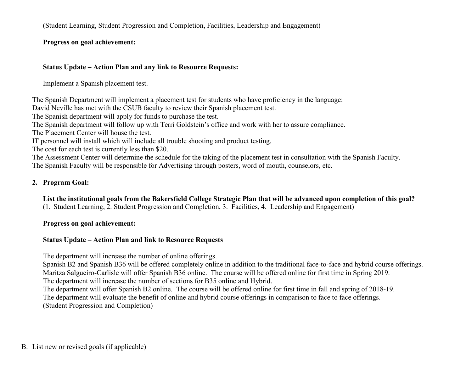(Student Learning, Student Progression and Completion, Facilities, Leadership and Engagement)

**Progress on goal achievement:**

### **Status Update – Action Plan and any link to Resource Requests:**

Implement a Spanish placement test.

The Spanish Department will implement a placement test for students who have proficiency in the language:

David Neville has met with the CSUB faculty to review their Spanish placement test.

The Spanish department will apply for funds to purchase the test.

The Spanish department will follow up with Terri Goldstein's office and work with her to assure compliance.

The Placement Center will house the test.

IT personnel will install which will include all trouble shooting and product testing.

The cost for each test is currently less than \$20.

The Assessment Center will determine the schedule for the taking of the placement test in consultation with the Spanish Faculty. The Spanish Faculty will be responsible for Advertising through posters, word of mouth, counselors, etc.

# **2. Program Goal:**

**List the institutional goals from the Bakersfield College Strategic Plan that will be advanced upon completion of this goal?**  (1. Student Learning, 2. Student Progression and Completion, 3. Facilities, 4. Leadership and Engagement)

# **Progress on goal achievement:**

# **Status Update – Action Plan and link to Resource Requests**

The department will increase the number of online offerings.

Spanish B2 and Spanish B36 will be offered completely online in addition to the traditional face-to-face and hybrid course offerings. Maritza Salgueiro-Carlisle will offer Spanish B36 online. The course will be offered online for first time in Spring 2019.

The department will increase the number of sections for B35 online and Hybrid.

The department will offer Spanish B2 online. The course will be offered online for first time in fall and spring of 2018-19. The department will evaluate the benefit of online and hybrid course offerings in comparison to face to face offerings.

(Student Progression and Completion)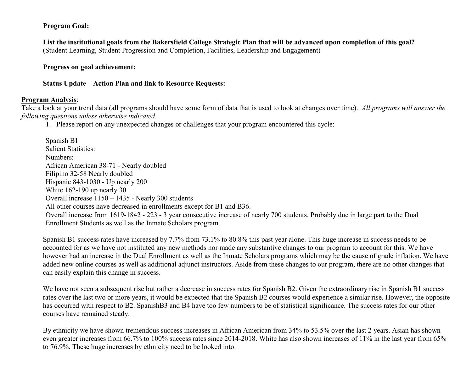#### **Program Goal:**

**List the institutional goals from the Bakersfield College Strategic Plan that will be advanced upon completion of this goal?**  (Student Learning, Student Progression and Completion, Facilities, Leadership and Engagement)

#### **Progress on goal achievement:**

**Status Update – Action Plan and link to Resource Requests:**

#### **Program Analysis**:

Take a look at your trend data (all programs should have some form of data that is used to look at changes over time). *All programs will answer the following questions unless otherwise indicated.*

1. Please report on any unexpected changes or challenges that your program encountered this cycle:

Spanish B1 Salient Statistics: Numbers: African American 38-71 - Nearly doubled Filipino 32-58 Nearly doubled Hispanic 843-1030 - Up nearly 200 White 162-190 up nearly 30 Overall increase 1150 – 1435 - Nearly 300 students All other courses have decreased in enrollments except for B1 and B36. Overall increase from 1619-1842 - 223 - 3 year consecutive increase of nearly 700 students. Probably due in large part to the Dual Enrollment Students as well as the Inmate Scholars program.

Spanish B1 success rates have increased by 7.7% from 73.1% to 80.8% this past year alone. This huge increase in success needs to be accounted for as we have not instituted any new methods nor made any substantive changes to our program to account for this. We have however had an increase in the Dual Enrollment as well as the Inmate Scholars programs which may be the cause of grade inflation. We have added new online courses as well as additional adjunct instructors. Aside from these changes to our program, there are no other changes that can easily explain this change in success.

We have not seen a subsequent rise but rather a decrease in success rates for Spanish B2. Given the extraordinary rise in Spanish B1 success rates over the last two or more years, it would be expected that the Spanish B2 courses would experience a similar rise. However, the opposite has occurred with respect to B2. SpanishB3 and B4 have too few numbers to be of statistical significance. The success rates for our other courses have remained steady.

By ethnicity we have shown tremendous success increases in African American from 34% to 53.5% over the last 2 years. Asian has shown even greater increases from 66.7% to 100% success rates since 2014-2018. White has also shown increases of 11% in the last year from 65% to 76.9%. These huge increases by ethnicity need to be looked into.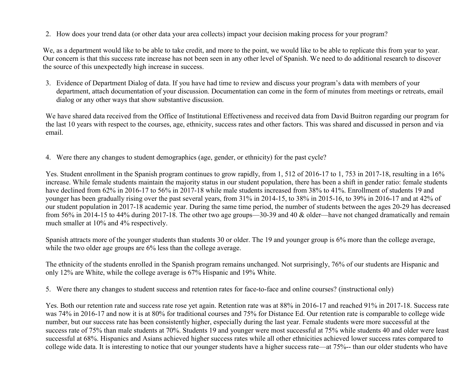2. How does your trend data (or other data your area collects) impact your decision making process for your program?

We, as a department would like to be able to take credit, and more to the point, we would like to be able to replicate this from year to year. Our concern is that this success rate increase has not been seen in any other level of Spanish. We need to do additional research to discover the source of this unexpectedly high increase in success.

3. Evidence of Department Dialog of data. If you have had time to review and discuss your program's data with members of your department, attach documentation of your discussion. Documentation can come in the form of minutes from meetings or retreats, email dialog or any other ways that show substantive discussion.

We have shared data received from the Office of Institutional Effectiveness and received data from David Buitron regarding our program for the last 10 years with respect to the courses, age, ethnicity, success rates and other factors. This was shared and discussed in person and via email.

4. Were there any changes to student demographics (age, gender, or ethnicity) for the past cycle?

Yes. Student enrollment in the Spanish program continues to grow rapidly, from 1, 512 of 2016-17 to 1, 753 in 2017-18, resulting in a 16% increase. While female students maintain the majority status in our student population, there has been a shift in gender ratio: female students have declined from 62% in 2016-17 to 56% in 2017-18 while male students increased from 38% to 41%. Enrollment of students 19 and younger has been gradually rising over the past several years, from 31% in 2014-15, to 38% in 2015-16, to 39% in 2016-17 and at 42% of our student population in 2017-18 academic year. During the same time period, the number of students between the ages 20-29 has decreased from 56% in 2014-15 to 44% during 2017-18. The other two age groups—30-39 and 40 & older—have not changed dramatically and remain much smaller at 10% and 4% respectively.

Spanish attracts more of the younger students than students 30 or older. The 19 and younger group is 6% more than the college average, while the two older age groups are  $6\%$  less than the college average.

The ethnicity of the students enrolled in the Spanish program remains unchanged. Not surprisingly, 76% of our students are Hispanic and only 12% are White, while the college average is 67% Hispanic and 19% White.

5. Were there any changes to student success and retention rates for face-to-face and online courses? (instructional only)

Yes. Both our retention rate and success rate rose yet again. Retention rate was at 88% in 2016-17 and reached 91% in 2017-18. Success rate was 74% in 2016-17 and now it is at 80% for traditional courses and 75% for Distance Ed. Our retention rate is comparable to college wide number, but our success rate has been consistently higher, especially during the last year. Female students were more successful at the success rate of 75% than male students at 70%. Students 19 and younger were most successful at 75% while students 40 and older were least successful at 68%. Hispanics and Asians achieved higher success rates while all other ethnicities achieved lower success rates compared to college wide data. It is interesting to notice that our younger students have a higher success rate—at 75%-- than our older students who have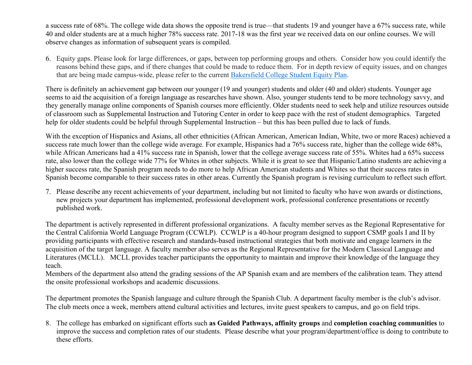a success rate of 68%. The college wide data shows the opposite trend is true—that students 19 and younger have a 67% success rate, while 40 and older students are at a much higher 78% success rate. 2017-18 was the first year we received data on our online courses. We will observe changes as information of subsequent years is compiled.

6. Equity gaps. Please look for large differences, or gaps, between top performing groups and others. Consider how you could identify the reasons behind these gaps, and if there changes that could be made to reduce them. For in depth review of equity issues, and on changes that are being made campus-wide, please refer to the current [Bakersfield College Student Equity Plan.](https://www.bakersfieldcollege.edu/sites/bakersfieldcollege.edu/files/2015-18_StudentEquityPlan.pdf)

There is definitely an achievement gap between our younger (19 and younger) students and older (40 and older) students. Younger age seems to aid the acquisition of a foreign language as researches have shown. Also, younger students tend to be more technology savvy, and they generally manage online components of Spanish courses more efficiently. Older students need to seek help and utilize resources outside of classroom such as Supplemental Instruction and Tutoring Center in order to keep pace with the rest of student demographics. Targeted help for older students could be helpful through Supplemental Instruction – but this has been pulled due to lack of funds.

With the exception of Hispanics and Asians, all other ethnicities (African American, American Indian, White, two or more Races) achieved a success rate much lower than the college wide average. For example, Hispanics had a 76% success rate, higher than the college wide 68%, while African Americans had a 41% success rate in Spanish, lower that the college average success rate of 55%. Whites had a 65% success rate, also lower than the college wide 77% for Whites in other subjects. While it is great to see that Hispanic/Latino students are achieving a higher success rate, the Spanish program needs to do more to help African American students and Whites so that their success rates in Spanish become comparable to their success rates in other areas. Currently the Spanish program is revising curriculum to reflect such effort.

7. Please describe any recent achievements of your department, including but not limited to faculty who have won awards or distinctions, new projects your department has implemented, professional development work, professional conference presentations or recently published work.

The department is actively represented in different professional organizations. A faculty member serves as the Regional Representative for the Central California World Language Program (CCWLP). CCWLP is a 40-hour program designed to support CSMP goals I and II by providing participants with effective research and standards-based instructional strategies that both motivate and engage learners in the acquisition of the target language. A faculty member also serves as the Regional Representative for the Modern Classical Language and Literatures (MCLL). MCLL provides teacher participants the opportunity to maintain and improve their knowledge of the language they teach.

Members of the department also attend the grading sessions of the AP Spanish exam and are members of the calibration team. They attend the onsite professional workshops and academic discussions.

The department promotes the Spanish language and culture through the Spanish Club. A department faculty member is the club's advisor. The club meets once a week, members attend cultural activities and lectures, invite guest speakers to campus, and go on field trips.

8. The college has embarked on significant efforts such **as Guided Pathways, affinity groups** and **completion coaching communities** to improve the success and completion rates of our students. Please describe what your program/department/office is doing to contribute to these efforts.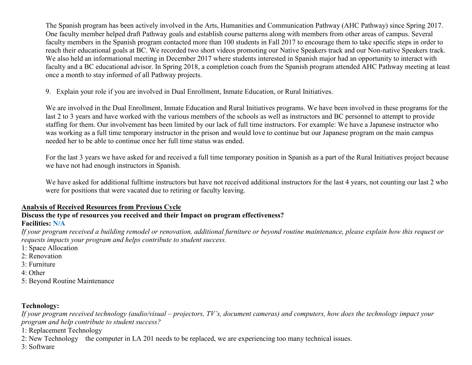The Spanish program has been actively involved in the Arts, Humanities and Communication Pathway (AHC Pathway) since Spring 2017. One faculty member helped draft Pathway goals and establish course patterns along with members from other areas of campus. Several faculty members in the Spanish program contacted more than 100 students in Fall 2017 to encourage them to take specific steps in order to reach their educational goals at BC. We recorded two short videos promoting our Native Speakers track and our Non-native Speakers track. We also held an informational meeting in December 2017 where students interested in Spanish major had an opportunity to interact with faculty and a BC educational advisor. In Spring 2018, a completion coach from the Spanish program attended AHC Pathway meeting at least once a month to stay informed of all Pathway projects.

9. Explain your role if you are involved in Dual Enrollment, Inmate Education, or Rural Initiatives.

We are involved in the Dual Enrollment, Inmate Education and Rural Initiatives programs. We have been involved in these programs for the last 2 to 3 years and have worked with the various members of the schools as well as instructors and BC personnel to attempt to provide staffing for them. Our involvement has been limited by our lack of full time instructors. For example: We have a Japanese instructor who was working as a full time temporary instructor in the prison and would love to continue but our Japanese program on the main campus needed her to be able to continue once her full time status was ended.

For the last 3 years we have asked for and received a full time temporary position in Spanish as a part of the Rural Initiatives project because we have not had enough instructors in Spanish.

We have asked for additional fulltime instructors but have not received additional instructors for the last 4 years, not counting our last 2 who were for positions that were vacated due to retiring or faculty leaving.

#### **Analysis of Received Resources from Previous Cycle**

# **Discuss the type of resources you received and their Impact on program effectiveness?**

### **Facilities: N/A**

*If your program received a building remodel or renovation, additional furniture or beyond routine maintenance, please explain how this request or requests impacts your program and helps contribute to student success.*

- 1: Space Allocation
- 2: Renovation
- 3: Furniture
- 4: Other
- 5: Beyond Routine Maintenance

# **Technology:**

*If your program received technology (audio/visual – projectors, TV's, document cameras) and computers, how does the technology impact your program and help contribute to student success?*

- 1: Replacement Technology
- 2: New Technology the computer in LA 201 needs to be replaced, we are experiencing too many technical issues.
- 3: Software